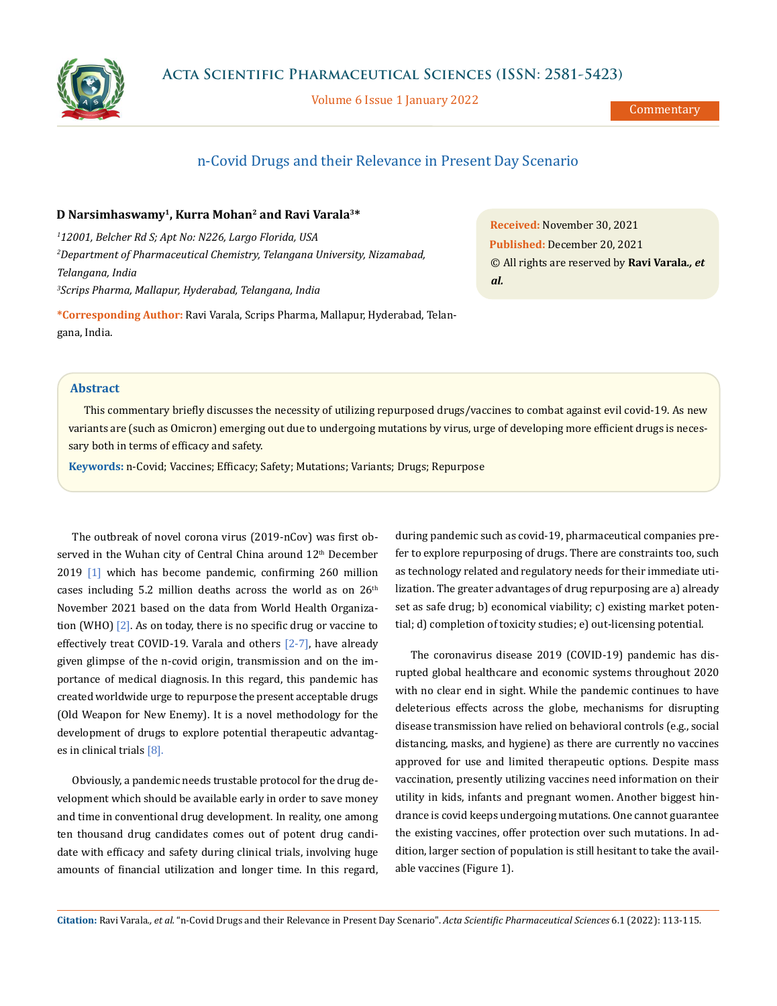

Volume 6 Issue 1 January 2022

Commentary

# n-Covid Drugs and their Relevance in Present Day Scenario

### **D Narsimhaswamy1, Kurra Mohan2 and Ravi Varala3\***

 *12001, Belcher Rd S; Apt No: N226, Largo Florida, USA Department of Pharmaceutical Chemistry, Telangana University, Nizamabad, Telangana, India Scrips Pharma, Mallapur, Hyderabad, Telangana, India*

**\*Corresponding Author:** Ravi Varala, Scrips Pharma, Mallapur, Hyderabad, Telangana, India.

**Received:** November 30, 2021 **Published:** December 20, 2021 © All rights are reserved by **Ravi Varala***., et al.*

## **Abstract**

This commentary briefly discusses the necessity of utilizing repurposed drugs/vaccines to combat against evil covid-19. As new variants are (such as Omicron) emerging out due to undergoing mutations by virus, urge of developing more efficient drugs is necessary both in terms of efficacy and safety.

**Keywords:** n-Covid; Vaccines; Efficacy; Safety; Mutations; Variants; Drugs; Repurpose

The outbreak of novel corona virus (2019-nCov) was first observed in the Wuhan city of Central China around 12<sup>th</sup> December 2019 [1] which has become pandemic, confirming 260 million cases including 5.2 million deaths across the world as on  $26<sup>th</sup>$ November 2021 based on the data from World Health Organization (WHO) [2]. As on today, there is no specific drug or vaccine to effectively treat COVID-19. Varala and others [2-7], have already given glimpse of the n-covid origin, transmission and on the importance of medical diagnosis. In this regard, this pandemic has created worldwide urge to repurpose the present acceptable drugs (Old Weapon for New Enemy). It is a novel methodology for the development of drugs to explore potential therapeutic advantages in clinical trials [8].

Obviously, a pandemic needs trustable protocol for the drug development which should be available early in order to save money and time in conventional drug development. In reality, one among ten thousand drug candidates comes out of potent drug candidate with efficacy and safety during clinical trials, involving huge amounts of financial utilization and longer time. In this regard, during pandemic such as covid-19, pharmaceutical companies prefer to explore repurposing of drugs. There are constraints too, such as technology related and regulatory needs for their immediate utilization. The greater advantages of drug repurposing are a) already set as safe drug; b) economical viability; c) existing market potential; d) completion of toxicity studies; e) out-licensing potential.

The coronavirus disease 2019 (COVID-19) pandemic has disrupted global healthcare and economic systems throughout 2020 with no clear end in sight. While the pandemic continues to have deleterious effects across the globe, mechanisms for disrupting disease transmission have relied on behavioral controls (e.g., social distancing, masks, and hygiene) as there are currently no vaccines approved for use and limited therapeutic options. Despite mass vaccination, presently utilizing vaccines need information on their utility in kids, infants and pregnant women. Another biggest hindrance is covid keeps undergoing mutations. One cannot guarantee the existing vaccines, offer protection over such mutations. In addition, larger section of population is still hesitant to take the available vaccines (Figure 1).

**Citation:** Ravi Varala*., et al.* "n-Covid Drugs and their Relevance in Present Day Scenario". *Acta Scientific Pharmaceutical Sciences* 6.1 (2022): 113-115.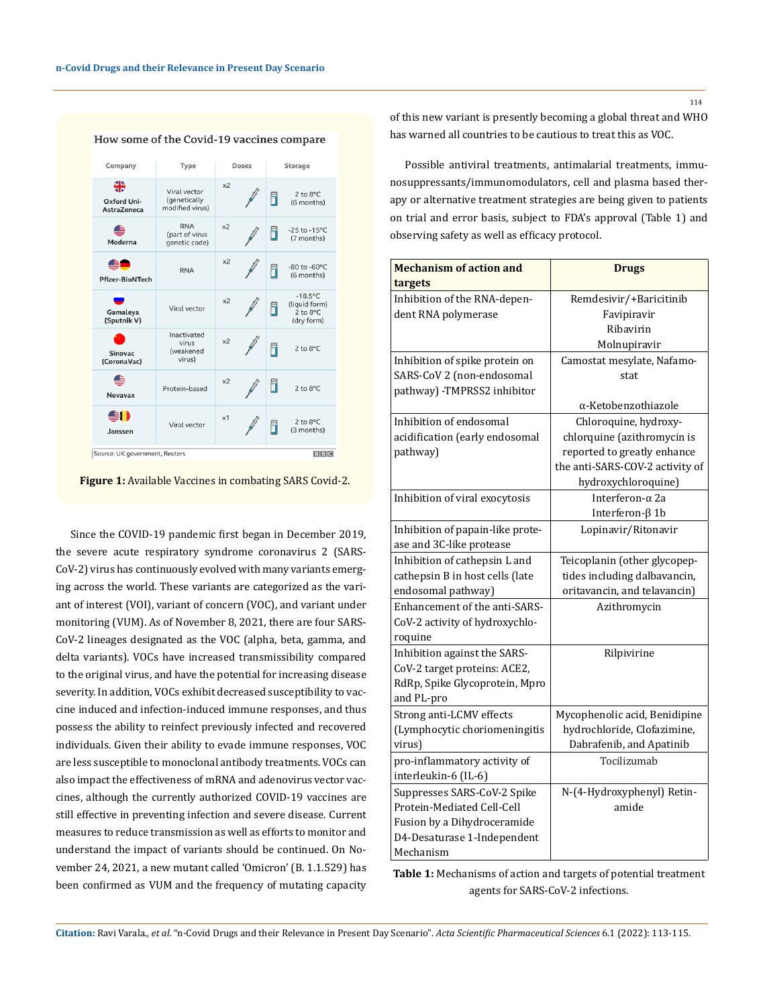

How some of the Covid-19 vaccines compare

**Figure 1:** Available Vaccines in combating SARS Covid-2.

Since the COVID-19 pandemic first began in December 2019, the severe acute respiratory syndrome coronavirus 2 (SARS-CoV-2) virus has continuously evolved with many variants emerging across the world. These variants are categorized as the variant of interest (VOI), variant of concern (VOC), and variant under monitoring (VUM). As of November 8, 2021, there are four SARS-CoV-2 lineages designated as the VOC (alpha, beta, gamma, and delta variants). VOCs have increased transmissibility compared to the original virus, and have the potential for increasing disease severity. In addition, VOCs exhibit decreased susceptibility to vaccine induced and infection-induced immune responses, and thus possess the ability to reinfect previously infected and recovered individuals. Given their ability to evade immune responses, VOC are less susceptible to monoclonal antibody treatments. VOCs can also impact the effectiveness of mRNA and adenovirus vector vaccines, although the currently authorized COVID-19 vaccines are still effective in preventing infection and severe disease. Current measures to reduce transmission as well as efforts to monitor and understand the impact of variants should be continued. On November 24, 2021, a new mutant called 'Omicron' (B. 1.1.529) has been confirmed as VUM and the frequency of mutating capacity of this new variant is presently becoming a global threat and WHO has warned all countries to be cautious to treat this as VOC.

Possible antiviral treatments, antimalarial treatments, immunosuppressants/immunomodulators, cell and plasma based therapy or alternative treatment strategies are being given to patients on trial and error basis, subject to FDA's approval (Table 1) and observing safety as well as efficacy protocol.

| <b>Mechanism of action and</b>   | <b>Drugs</b>                    |
|----------------------------------|---------------------------------|
| targets                          |                                 |
| Inhibition of the RNA-depen-     | Remdesivir/+Baricitinib         |
| dent RNA polymerase              | Favipiravir                     |
|                                  | Ribavirin                       |
|                                  | Molnupiravir                    |
| Inhibition of spike protein on   | Camostat mesylate, Nafamo-      |
| SARS-CoV 2 (non-endosomal        | stat                            |
| pathway) -TMPRSS2 inhibitor      |                                 |
|                                  | α-Ketobenzothiazole             |
| Inhibition of endosomal          | Chloroquine, hydroxy-           |
| acidification (early endosomal   | chlorquine (azithromycin is     |
| pathway)                         | reported to greatly enhance     |
|                                  | the anti-SARS-COV-2 activity of |
|                                  | hydroxychloroquine)             |
| Inhibition of viral exocytosis   | Interferon-α 2a                 |
|                                  | Interferon-β 1b                 |
| Inhibition of papain-like prote- | Lopinavir/Ritonavir             |
| ase and 3C-like protease         |                                 |
| Inhibition of cathepsin L and    | Teicoplanin (other glycopep-    |
| cathepsin B in host cells (late  | tides including dalbavancin,    |
| endosomal pathway)               | oritavancin, and telavancin)    |
| Enhancement of the anti-SARS-    | Azithromycin                    |
| CoV-2 activity of hydroxychlo-   |                                 |
| roquine                          |                                 |
| Inhibition against the SARS-     | Rilpivirine                     |
| CoV-2 target proteins: ACE2,     |                                 |
| RdRp, Spike Glycoprotein, Mpro   |                                 |
| and PL-pro                       |                                 |
| Strong anti-LCMV effects         | Mycophenolic acid, Benidipine   |
| (Lymphocytic choriomeningitis    | hydrochloride, Clofazimine,     |
| virus)                           | Dabrafenib, and Apatinib        |
| pro-inflammatory activity of     | Tocilizumab                     |
| interleukin-6 (IL-6)             |                                 |
| Suppresses SARS-CoV-2 Spike      | N-(4-Hydroxyphenyl) Retin-      |
| Protein-Mediated Cell-Cell       | amide                           |
| Fusion by a Dihydroceramide      |                                 |
| D4-Desaturase 1-Independent      |                                 |
| Mechanism                        |                                 |

**Table 1:** Mechanisms of action and targets of potential treatment agents for SARS-CoV-2 infections.

**Citation:** Ravi Varala*., et al.* "n-Covid Drugs and their Relevance in Present Day Scenario". *Acta Scientific Pharmaceutical Sciences* 6.1 (2022): 113-115.

114